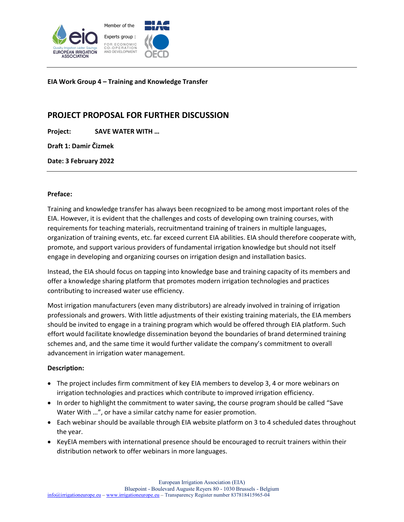

**EIA Work Group 4 – Training and Knowledge Transfer**

# **PROJECT PROPOSAL FOR FURTHER DISCUSSION**

**Project: SAVE WATER WITH …**

**Draft 1: Damir Čizmek**

**Date: 3 February 2022**

# **Preface:**

Training and knowledge transfer has always been recognized to be among most important roles of the EIA. However, it is evident that the challenges and costs of developing own training courses, with requirements for teaching materials, recruitmentand training of trainers in multiple languages, organization of training events, etc. far exceed current EIA abilities. EIA should therefore cooperate with, promote, and support various providers of fundamental irrigation knowledge but should not itself engage in developing and organizing courses on irrigation design and installation basics.

Instead, the EIA should focus on tapping into knowledge base and training capacity of its members and offer a knowledge sharing platform that promotes modern irrigation technologies and practices contributing to increased water use efficiency.

Most irrigation manufacturers (even many distributors) are already involved in training of irrigation professionals and growers. With little adjustments of their existing training materials, the EIA members should be invited to engage in a training program which would be offered through EIA platform. Such effort would facilitate knowledge dissemination beyond the boundaries of brand determined training schemes and, and the same time it would further validate the company's commitment to overall advancement in irrigation water management.

# **Description:**

- The project includes firm commitment of key EIA members to develop 3, 4 or more webinars on irrigation technologies and practices which contribute to improved irrigation efficiency.
- In order to highlight the commitment to water saving, the course program should be called "Save Water With …", or have a similar catchy name for easier promotion.
- Each webinar should be available through EIA website platform on 3 to 4 scheduled dates throughout the year.
- KeyEIA members with international presence should be encouraged to recruit trainers within their distribution network to offer webinars in more languages.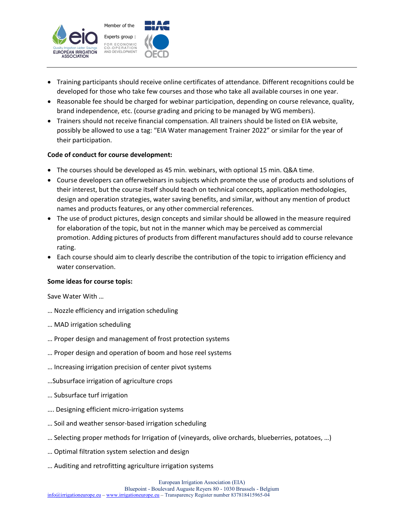

- Training participants should receive online certificates of attendance. Different recognitions could be developed for those who take few courses and those who take all available courses in one year.
- Reasonable fee should be charged for webinar participation, depending on course relevance, quality, brand independence, etc. (course grading and pricing to be managed by WG members).
- Trainers should not receive financial compensation. All trainers should be listed on EIA website, possibly be allowed to use a tag: "EIA Water management Trainer 2022" or similar for the year of their participation.

# **Code of conduct for course development:**

- The courses should be developed as 45 min. webinars, with optional 15 min. Q&A time.
- Course developers can offerwebinars in subjects which promote the use of products and solutions of their interest, but the course itself should teach on technical concepts, application methodologies, design and operation strategies, water saving benefits, and similar, without any mention of product names and products features, or any other commercial references.
- The use of product pictures, design concepts and similar should be allowed in the measure required for elaboration of the topic, but not in the manner which may be perceived as commercial promotion. Adding pictures of products from different manufactures should add to course relevance rating.
- Each course should aim to clearly describe the contribution of the topic to irrigation efficiency and water conservation.

#### **Some ideas for course topis:**

Save Water With …

- … Nozzle efficiency and irrigation scheduling
- … MAD irrigation scheduling
- … Proper design and management of frost protection systems
- … Proper design and operation of boom and hose reel systems
- … Increasing irrigation precision of center pivot systems
- …Subsurface irrigation of agriculture crops
- … Subsurface turf irrigation
- …. Designing efficient micro-irrigation systems
- … Soil and weather sensor-based irrigation scheduling
- … Selecting proper methods for Irrigation of (vineyards, olive orchards, blueberries, potatoes, …)
- … Optimal filtration system selection and design
- … Auditing and retrofitting agriculture irrigation systems